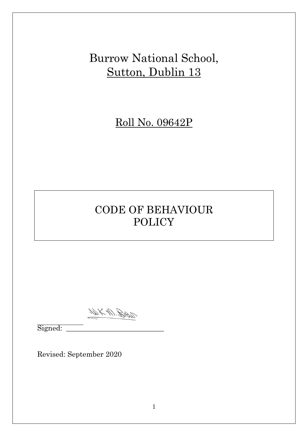Burrow National School, Sutton, Dublin 13

Roll No. 09642P

# CODE OF BEHAVIOUR POLICY

WRAD BAD

 $\overline{a}$ Signed: \_\_\_\_\_\_\_\_\_\_\_\_\_\_\_\_\_\_\_\_\_\_\_\_\_\_\_

Revised: September 2020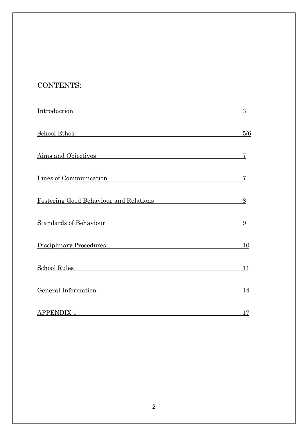# CONTENTS:

| <u>Introduction</u>                           | 3         |
|-----------------------------------------------|-----------|
| School Ethos School Ethos                     | 5/6       |
| Aims and Objectives                           | 7         |
| Lines of Communication                        | 7         |
| <b>Fostering Good Behaviour and Relations</b> | 8         |
| Standards of Behaviour                        | 9         |
| Disciplinary Procedures                       | <b>10</b> |
| <u>School Rules</u>                           | 11        |
| <b>General Information</b>                    | <u>14</u> |
| <b>APPENDIX 1</b>                             | 17        |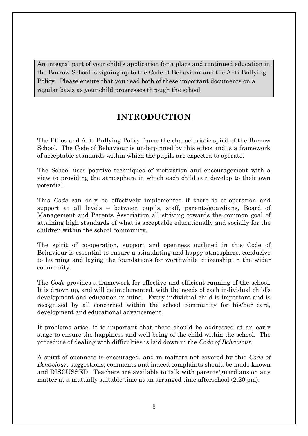An integral part of your child's application for a place and continued education in the Burrow School is signing up to the Code of Behaviour and the Anti-Bullying Policy. Please ensure that you read both of these important documents on a regular basis as your child progresses through the school.

### **INTRODUCTION**

The Ethos and Anti-Bullying Policy frame the characteristic spirit of the Burrow School. The Code of Behaviour is underpinned by this ethos and is a framework of acceptable standards within which the pupils are expected to operate.

The School uses positive techniques of motivation and encouragement with a view to providing the atmosphere in which each child can develop to their own potential.

This *Code* can only be effectively implemented if there is co-operation and support at all levels – between pupils, staff, parents/guardians, Board of Management and Parents Association all striving towards the common goal of attaining high standards of what is acceptable educationally and socially for the children within the school community.

The spirit of co-operation, support and openness outlined in this Code of Behaviour is essential to ensure a stimulating and happy atmosphere, conducive to learning and laying the foundations for worthwhile citizenship in the wider community.

The *Code* provides a framework for effective and efficient running of the school. It is drawn up, and will be implemented, with the needs of each individual child's development and education in mind. Every individual child is important and is recognised by all concerned within the school community for his/her care, development and educational advancement.

If problems arise, it is important that these should be addressed at an early stage to ensure the happiness and well-being of the child within the school. The procedure of dealing with difficulties is laid down in the *Code of Behaviour.*

A spirit of openness is encouraged, and in matters not covered by this *Code of Behaviour,* suggestions, comments and indeed complaints should be made known and DISCUSSED. Teachers are available to talk with parents/guardians on any matter at a mutually suitable time at an arranged time afterschool (2.20 pm).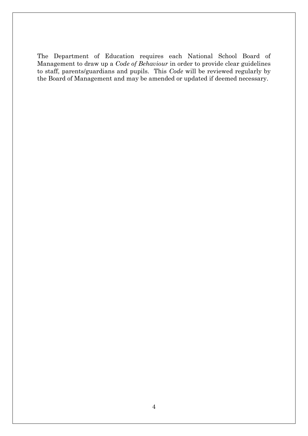The Department of Education requires each National School Board of Management to draw up a *Code of Behaviour* in order to provide clear guidelines to staff, parents/guardians and pupils. This *Code* will be reviewed regularly by the Board of Management and may be amended or updated if deemed necessary.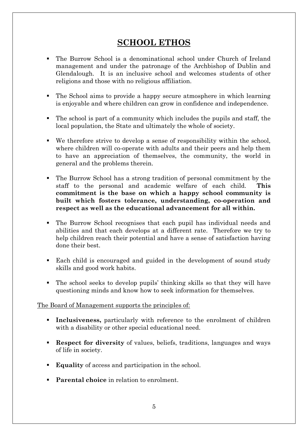### **SCHOOL ETHOS**

- The Burrow School is a denominational school under Church of Ireland management and under the patronage of the Archbishop of Dublin and Glendalough. It is an inclusive school and welcomes students of other religions and those with no religious affiliation.
- The School aims to provide a happy secure atmosphere in which learning is enjoyable and where children can grow in confidence and independence.
- The school is part of a community which includes the pupils and staff, the local population, the State and ultimately the whole of society.
- We therefore strive to develop a sense of responsibility within the school, where children will co-operate with adults and their peers and help them to have an appreciation of themselves, the community, the world in general and the problems therein.
- The Burrow School has a strong tradition of personal commitment by the staff to the personal and academic welfare of each child. **This commitment is the base on which a happy school community is built which fosters tolerance, understanding, co-operation and respect as well as the educational advancement for all within.**
- The Burrow School recognises that each pupil has individual needs and abilities and that each develops at a different rate. Therefore we try to help children reach their potential and have a sense of satisfaction having done their best.
- Each child is encouraged and guided in the development of sound study skills and good work habits.
- The school seeks to develop pupils' thinking skills so that they will have questioning minds and know how to seek information for themselves.

#### The Board of Management supports the principles of:

- **Inclusiveness,** particularly with reference to the enrolment of children with a disability or other special educational need.
- **Respect for diversity** of values, beliefs, traditions, languages and ways of life in society.
- **Equality** of access and participation in the school.
- **Parental choice** in relation to enrolment.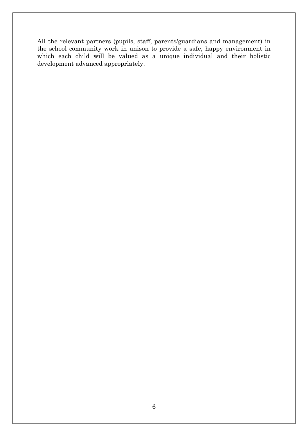All the relevant partners (pupils, staff, parents/guardians and management) in the school community work in unison to provide a safe, happy environment in which each child will be valued as a unique individual and their holistic development advanced appropriately.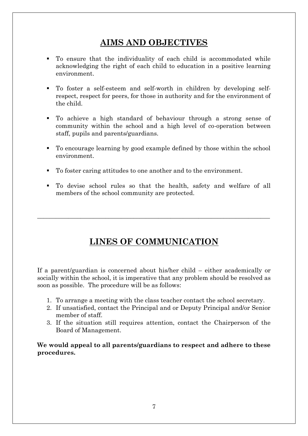## **AIMS AND OBJECTIVES**

- To ensure that the individuality of each child is accommodated while acknowledging the right of each child to education in a positive learning environment.
- To foster a self-esteem and self-worth in children by developing selfrespect, respect for peers, for those in authority and for the environment of the child.
- To achieve a high standard of behaviour through a strong sense of community within the school and a high level of co-operation between staff, pupils and parents/guardians.
- To encourage learning by good example defined by those within the school environment.
- To foster caring attitudes to one another and to the environment.
- To devise school rules so that the health, safety and welfare of all members of the school community are protected.

# **LINES OF COMMUNICATION**

 $\_$  , and the contribution of the contribution of the contribution of the contribution of  $\mathcal{L}_\mathcal{A}$ 

If a parent/guardian is concerned about his/her child – either academically or socially within the school, it is imperative that any problem should be resolved as soon as possible. The procedure will be as follows:

- 1. To arrange a meeting with the class teacher contact the school secretary.
- 2. If unsatisfied, contact the Principal and or Deputy Principal and/or Senior member of staff.
- 3. If the situation still requires attention, contact the Chairperson of the Board of Management.

**We would appeal to all parents/guardians to respect and adhere to these procedures.**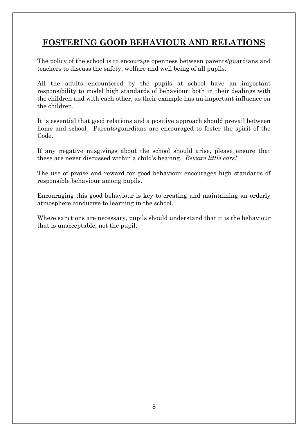# **FOSTERING GOOD BEHAVIOUR AND RELATIONS**

The policy of the school is to encourage openness between parents/guardians and teachers to discuss the safety, welfare and well being of all pupils.

All the adults encountered by the pupils at school have an important responsibility to model high standards of behaviour, both in their dealings with the children and with each other, as their example has an important influence on the children.

It is essential that good relations and a positive approach should prevail between home and school. Parents/guardians are encouraged to foster the spirit of the Code.

If any negative misgivings about the school should arise, please ensure that these are never discussed within a child's hearing. *Beware little ears!*

The use of praise and reward for good behaviour encourages high standards of responsible behaviour among pupils.

Encouraging this good behaviour is key to creating and maintaining an orderly atmosphere conducive to learning in the school.

Where sanctions are necessary, pupils should understand that it is the behaviour that is unacceptable, not the pupil.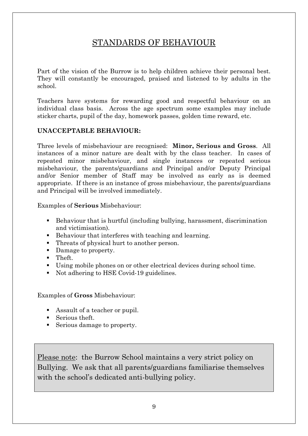# STANDARDS OF BEHAVIOUR

Part of the vision of the Burrow is to help children achieve their personal best. They will constantly be encouraged, praised and listened to by adults in the school.

Teachers have systems for rewarding good and respectful behaviour on an individual class basis. Across the age spectrum some examples may include sticker charts, pupil of the day, homework passes, golden time reward, etc.

### **UNACCEPTABLE BEHAVIOUR:**

Three levels of misbehaviour are recognised: **Minor, Serious and Gross**. All instances of a minor nature are dealt with by the class teacher. In cases of repeated minor misbehaviour, and single instances or repeated serious misbehaviour, the parents/guardians and Principal and/or Deputy Principal and/or Senior member of Staff may be involved as early as is deemed appropriate. If there is an instance of gross misbehaviour, the parents/guardians and Principal will be involved immediately.

Examples of **Serious** Misbehaviour:

- Behaviour that is hurtful (including bullying, harassment, discrimination and victimisation).
- Behaviour that interferes with teaching and learning.
- Threats of physical hurt to another person.
- Damage to property.
- **Theft.**
- Using mobile phones on or other electrical devices during school time.
- Not adhering to HSE Covid-19 guidelines.

Examples of **Gross** Misbehaviour:

- Assault of a teacher or pupil.
- Serious theft.
- Serious damage to property.

Please note: the Burrow School maintains a very strict policy on Bullying. We ask that all parents/guardians familiarise themselves with the school's dedicated anti-bullying policy.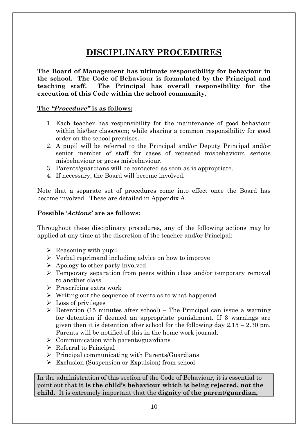# **DISCIPLINARY PROCEDURES**

**The Board of Management has ultimate responsibility for behaviour in the school. The Code of Behaviour is formulated by the Principal and teaching staff. The Principal has overall responsibility for the execution of this Code within the school community.**

#### **The** *"Procedure"* **is as follows:**

- 1. Each teacher has responsibility for the maintenance of good behaviour within his/her classroom; while sharing a common responsibility for good order on the school premises.
- 2. A pupil will be referred to the Principal and/or Deputy Principal and/or senior member of staff for cases of repeated misbehaviour, serious misbehaviour or gross misbehaviour.
- 3. Parents/guardians will be contacted as soon as is appropriate.
- 4. If necessary, the Board will become involved.

Note that a separate set of procedures come into effect once the Board has become involved. These are detailed in Appendix A.

#### **Possible '***Actions'* **are as follows:**

Throughout these disciplinary procedures, any of the following actions may be applied at any time at the discretion of the teacher and/or Principal:

- $\triangleright$  Reasoning with pupil
- $\triangleright$  Verbal reprimand including advice on how to improve
- $\triangleright$  Apology to other party involved
- Temporary separation from peers within class and/or temporary removal to another class
- $\triangleright$  Prescribing extra work
- $\triangleright$  Writing out the sequence of events as to what happened
- $\triangleright$  Loss of privileges
- $\triangleright$  Detention (15 minutes after school) The Principal can issue a warning for detention if deemed an appropriate punishment. If 3 warnings are given then it is detention after school for the following day  $2.15 - 2.30$  pm. Parents will be notified of this in the home work journal.
- $\triangleright$  Communication with parents/guardians
- $\triangleright$  Referral to Principal
- $\triangleright$  Principal communicating with Parents/Guardians
- Exclusion (Suspension or Expulsion) from school

In the administration of this section of the Code of Behaviour, it is essential to point out that **it is the child's behaviour which is being rejected, not the child.** It is extremely important that the **dignity of the parent/guardian,**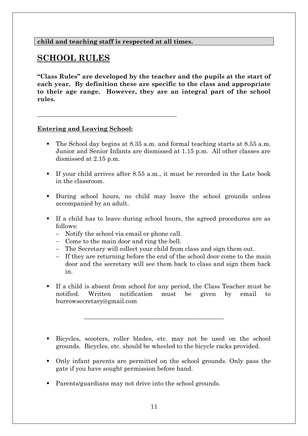#### **child and teaching staff is respected at all times.**

**\_\_\_\_\_\_\_\_\_\_\_\_\_\_\_\_\_\_\_\_\_\_\_\_\_\_\_\_\_\_\_\_\_\_\_\_\_\_\_\_\_\_\_\_\_**

### **SCHOOL RULES**

**"Class Rules" are developed by the teacher and the pupils at the start of each year. By definition these are specific to the class and appropriate to their age range. However, they are an integral part of the school rules.**

#### **Entering and Leaving School:**

- The School day begins at 8.35 a.m. and formal teaching starts at 8.55 a.m. Junior and Senior Infants are dismissed at 1.15 p.m. All other classes are dismissed at 2.15 p.m.
- If your child arrives after 8.55 a.m., it must be recorded in the Late book in the classroom.
- During school hours, no child may leave the school grounds unless accompanied by an adult.
- If a child has to leave during school hours, the agreed procedures are as follows:
	- Notify the school via email or phone call.
	- Come to the main door and ring the bell.
	- The Secretary will collect your child from class and sign them out.
	- If they are returning before the end of the school door come to the main door and the secretary will see them back to class and sign them back in.
- If a child is absent from school for any period, the Class Teacher must be notified. Written notification must be given by email to burrowsecretary@gmail.com

\_\_\_\_\_\_\_\_\_\_\_\_\_\_\_\_\_\_\_\_\_\_\_\_\_\_\_\_\_\_\_\_\_\_\_\_\_\_\_\_\_\_\_\_\_

- Bicycles, scooters, roller blades, etc. may not be used on the school grounds. Bicycles, etc. should be wheeled to the bicycle racks provided.
- Only infant parents are permitted on the school grounds. Only pass the gate if you have sought permission before hand.
- Parents/guardians may not drive into the school grounds.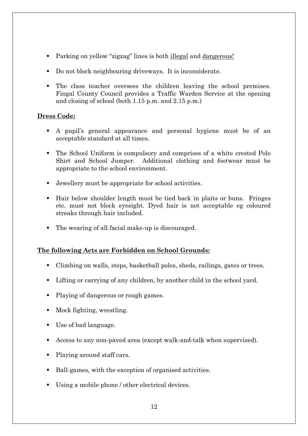- Parking on yellow "zigzag" lines is both illegal and dangerous!
- Do not block neighbouring driveways. It is inconsiderate.
- The class teacher oversees the children leaving the school premises. Fingal County Council provides a Traffic Warden Service at the opening and closing of school (both 1.15 p.m. and 2.15 p.m.)

### **Dress Code:**

- A pupil's general appearance and personal hygiene must be of an acceptable standard at all times.
- The School Uniform is compulsory and comprises of a white crested Polo Shirt and School Jumper. Additional clothing and footwear must be appropriate to the school environment.
- Jewellery must be appropriate for school activities.
- Hair below shoulder length must be tied back in plaits or buns. Fringes etc. must not block eyesight. Dyed hair is not acceptable eg coloured streaks through hair included.
- The wearing of all facial make-up is discouraged.

### **The following Acts are Forbidden on School Grounds:**

- Climbing on walls, steps, basketball poles, sheds, railings, gates or trees.
- Lifting or carrying of any children, by another child in the school yard.
- Playing of dangerous or rough games.
- Mock fighting, wrestling.
- Use of bad language.
- Access to any non-paved area (except walk-and-talk when supervised).
- Playing around staff cars.
- Ball-games, with the exception of organised activities.
- Using a mobile phone / other electrical devices.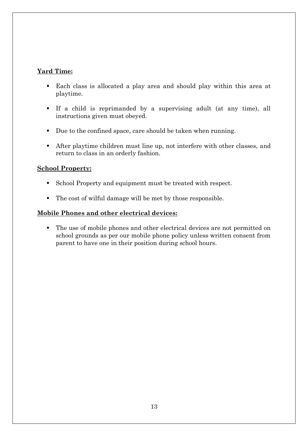#### **Yard Time:**

- Each class is allocated a play area and should play within this area at playtime.
- If a child is reprimanded by a supervising adult (at any time), all instructions given must obeyed.
- Due to the confined space, care should be taken when running.
- After playtime children must line up, not interfere with other classes, and return to class in an orderly fashion.

#### **School Property:**

- School Property and equipment must be treated with respect.
- The cost of wilful damage will be met by those responsible.

### **Mobile Phones and other electrical devices:**

 The use of mobile phones and other electrical devices are not permitted on school grounds as per our mobile phone policy unless written consent from parent to have one in their position during school hours.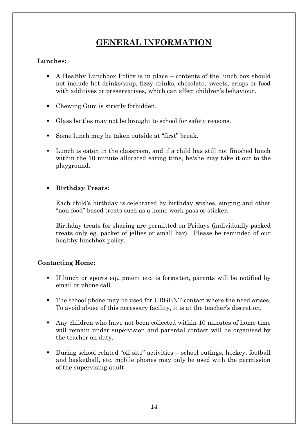# **GENERAL INFORMATION**

### **Lunches:**

- A Healthy Lunchbox Policy is in place contents of the lunch box should not include hot drinks/soup, fizzy drinks, chocolate, sweets, crisps or food with additives or preservatives, which can affect children's behaviour.
- Chewing Gum is strictly forbidden.
- Glass bottles may not be brought to school for safety reasons.
- Some lunch may be taken outside at "first" break.
- Lunch is eaten in the classroom, and if a child has still not finished lunch within the 10 minute allocated eating time, he/she may take it out to the playground.

### **Birthday Treats:**

Each child's birthday is celebrated by birthday wishes, singing and other "non-food" based treats such as a home work pass or sticker.

Birthday treats for sharing are permitted on Fridays (individually packed treats only eg. packet of jellies or small bar). Please be reminded of our healthy lunchbox policy.

#### **Contacting Home:**

- If lunch or sports equipment etc. is forgotten, parents will be notified by email or phone call.
- The school phone may be used for URGENT contact where the need arises. To avoid abuse of this necessary facility, it is at the teacher's discretion.
- Any children who have not been collected within 10 minutes of home time will remain under supervision and parental contact will be organised by the teacher on duty.
- During school related "off site" activities school outings, hockey, football and basketball, etc. mobile phones may only be used with the permission of the supervising adult.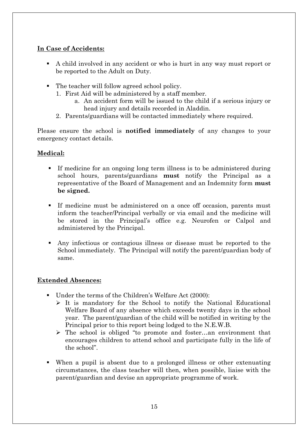### **In Case of Accidents:**

- A child involved in any accident or who is hurt in any way must report or be reported to the Adult on Duty.
- The teacher will follow agreed school policy.
	- 1. First Aid will be administered by a staff member.
		- a. An accident form will be issued to the child if a serious injury or head injury and details recorded in Aladdin.
	- 2. Parents/guardians will be contacted immediately where required.

Please ensure the school is **notified immediately** of any changes to your emergency contact details.

### **Medical:**

- If medicine for an ongoing long term illness is to be administered during school hours, parents/guardians **must** notify the Principal as a representative of the Board of Management and an Indemnity form **must be signed.**
- If medicine must be administered on a once off occasion, parents must inform the teacher/Principal verbally or via email and the medicine will be stored in the Principal's office e.g. Neurofen or Calpol and administered by the Principal.
- Any infectious or contagious illness or disease must be reported to the School immediately. The Principal will notify the parent/guardian body of same.

### **Extended Absences:**

- Under the terms of the Children's Welfare Act (2000):
	- $\triangleright$  It is mandatory for the School to notify the National Educational Welfare Board of any absence which exceeds twenty days in the school year. The parent/guardian of the child will be notified in writing by the Principal prior to this report being lodged to the N.E.W.B.
	- The school is obliged "to promote and foster…an environment that encourages children to attend school and participate fully in the life of the school".
- When a pupil is absent due to a prolonged illness or other extenuating circumstances, the class teacher will then, when possible, liaise with the parent/guardian and devise an appropriate programme of work.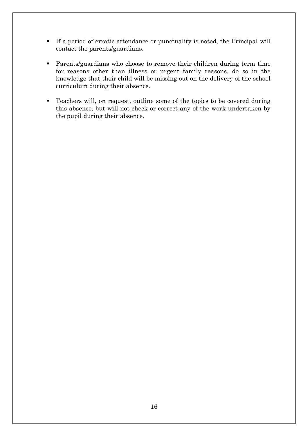- If a period of erratic attendance or punctuality is noted, the Principal will contact the parents/guardians.
- Parents/guardians who choose to remove their children during term time for reasons other than illness or urgent family reasons, do so in the knowledge that their child will be missing out on the delivery of the school curriculum during their absence.
- Teachers will, on request, outline some of the topics to be covered during this absence, but will not check or correct any of the work undertaken by the pupil during their absence.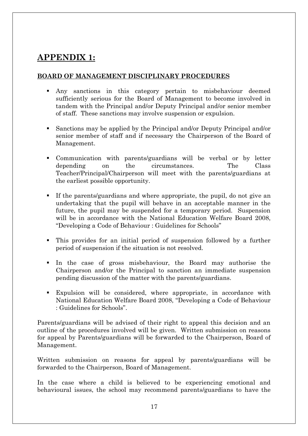# **APPENDIX 1:**

#### **BOARD OF MANAGEMENT DISCIPLINARY PROCEDURES**

- Any sanctions in this category pertain to misbehaviour deemed sufficiently serious for the Board of Management to become involved in tandem with the Principal and/or Deputy Principal and/or senior member of staff. These sanctions may involve suspension or expulsion.
- Sanctions may be applied by the Principal and/or Deputy Principal and/or senior member of staff and if necessary the Chairperson of the Board of Management.
- Communication with parents/guardians will be verbal or by letter depending on the circumstances. The Class Teacher/Principal/Chairperson will meet with the parents/guardians at the earliest possible opportunity.
- If the parents/guardians and where appropriate, the pupil, do not give an undertaking that the pupil will behave in an acceptable manner in the future, the pupil may be suspended for a temporary period. Suspension will be in accordance with the National Education Welfare Board 2008, "Developing a Code of Behaviour : Guidelines for Schools"
- This provides for an initial period of suspension followed by a further period of suspension if the situation is not resolved.
- In the case of gross misbehaviour, the Board may authorise the Chairperson and/or the Principal to sanction an immediate suspension pending discussion of the matter with the parents/guardians.
- Expulsion will be considered, where appropriate, in accordance with National Education Welfare Board 2008, "Developing a Code of Behaviour : Guidelines for Schools".

Parents/guardians will be advised of their right to appeal this decision and an outline of the procedures involved will be given. Written submission on reasons for appeal by Parents/guardians will be forwarded to the Chairperson, Board of Management.

Written submission on reasons for appeal by parents/guardians will be forwarded to the Chairperson, Board of Management.

In the case where a child is believed to be experiencing emotional and behavioural issues, the school may recommend parents/guardians to have the